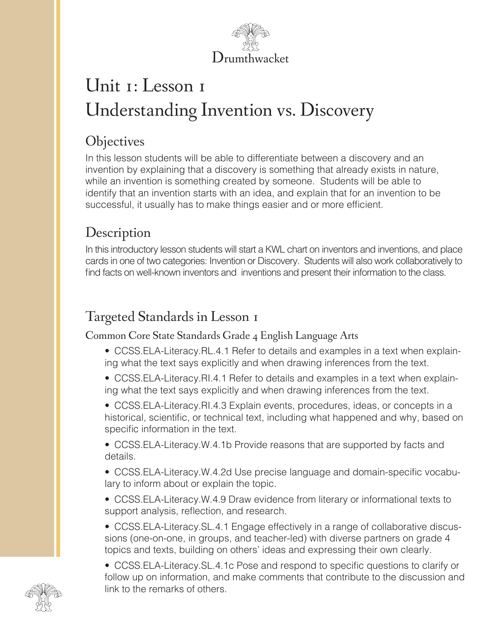

# Unit 1: Lesson 1 Understanding Invention vs. Discovery

## **Objectives**

In this lesson students will be able to differentiate between a discovery and an invention by explaining that a discovery is something that already exists in nature, while an invention is something created by someone. Students will be able to identify that an invention starts with an idea, and explain that for an invention to be successful, it usually has to make things easier and or more efficient.

# **Description**

In this introductory lesson students will start a KWL chart on inventors and inventions, and place cards in one of two categories: Invention or Discovery. Students will also work collaboratively to find facts on well-known inventors and inventions and present their information to the class.

# Targeted Standards in Lesson 1

Common Core State Standards Grade 4 English Language Arts

- CCSS.ELA-Literacy.RL.4.1 Refer to details and examples in a text when explaining what the text says explicitly and when drawing inferences from the text.
- CCSS.ELA-Literacy.RI.4.1 Refer to details and examples in a text when explaining what the text says explicitly and when drawing inferences from the text.
- CCSS.ELA-Literacy.RI.4.3 Explain events, procedures, ideas, or concepts in a historical, scientific, or technical text, including what happened and why, based on specific information in the text.

• CCSS.ELA-Literacy.W.4.1b Provide reasons that are supported by facts and details.

• CCSS.ELA-Literacy.W.4.2d Use precise language and domain-specific vocabulary to inform about or explain the topic.

• CCSS.ELA-Literacy.W.4.9 Draw evidence from literary or informational texts to support analysis, reflection, and research.

• CCSS.ELA-Literacy.SL.4.1 Engage effectively in a range of collaborative discussions (one-on-one, in groups, and teacher-led) with diverse partners on grade 4 topics and texts, building on others' ideas and expressing their own clearly.

• CCSS.ELA-Literacy.SL.4.1c Pose and respond to specific questions to clarify or follow up on information, and make comments that contribute to the discussion and link to the remarks of others.

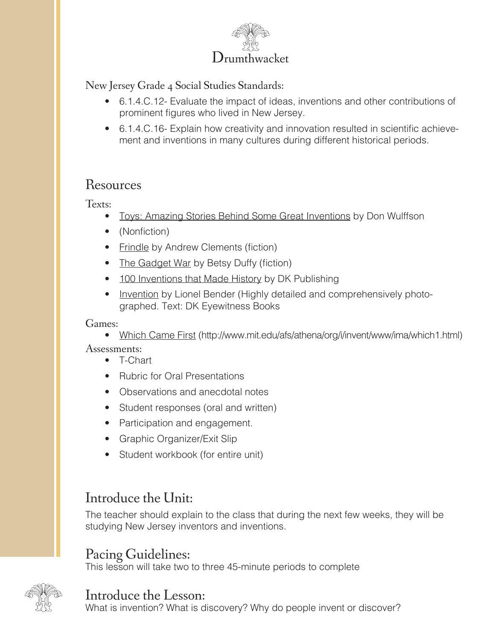

New Jersey Grade 4 Social Studies Standards:

- 6.1.4.C.12- Evaluate the impact of ideas, inventions and other contributions of prominent figures who lived in New Jersey.
- 6.1.4.C.16- Explain how creativity and innovation resulted in scientific achievement and inventions in many cultures during different historical periods.

#### Resources

Texts:

- Toys: Amazing Stories Behind Some Great Inventions by Don Wulffson
- (Nonfiction)
- Frindle by Andrew Clements (fiction)
- The Gadget War by Betsy Duffy (fiction)
- 100 Inventions that Made History by DK Publishing
- Invention by Lionel Bender (Highly detailed and comprehensively photographed. Text: DK Eyewitness Books

#### Games:

• Which Came First (http://www.mit.edu/afs/athena/org/i/invent/www/ima/which1.html) Assessments:

- T-Chart
- Rubric for Oral Presentations
- Observations and anecdotal notes
- Student responses (oral and written)
- Participation and engagement.
- Graphic Organizer/Exit Slip
- Student workbook (for entire unit)

## Introduce the Unit:

The teacher should explain to the class that during the next few weeks, they will be studying New Jersey inventors and inventions.

## Pacing Guidelines:

This lesson will take two to three 45-minute periods to complete



Introduce the Lesson:<br>What is invention? What is discovery? Why do people invent or discover?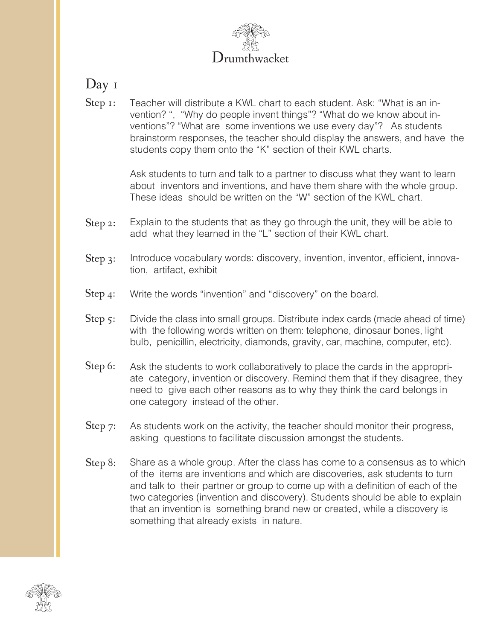

#### Day 1

Step 1: Teacher will distribute a KWL chart to each student. Ask: "What is an invention? ", "Why do people invent things"? "What do we know about inventions"? "What are some inventions we use every day"? As students brainstorm responses, the teacher should display the answers, and have the students copy them onto the "K" section of their KWL charts.

> Ask students to turn and talk to a partner to discuss what they want to learn about inventors and inventions, and have them share with the whole group. These ideas should be written on the "W" section of the KWL chart.

- Step 2: Explain to the students that as they go through the unit, they will be able to add what they learned in the "L" section of their KWL chart.
- Step 3: Introduce vocabulary words: discovery, invention, inventor, efficient, innovation, artifact, exhibit
- Write the words "invention" and "discovery" on the board. Step 4:
- Divide the class into small groups. Distribute index cards (made ahead of time) with the following words written on them: telephone, dinosaur bones, light bulb, penicillin, electricity, diamonds, gravity, car, machine, computer, etc). Step 5:
- Ask the students to work collaboratively to place the cards in the appropriate category, invention or discovery. Remind them that if they disagree, they need to give each other reasons as to why they think the card belongs in one category instead of the other. Step 6:
- As students work on the activity, the teacher should monitor their progress, asking questions to facilitate discussion amongst the students. Step 7:
- Share as a whole group. After the class has come to a consensus as to which of the items are inventions and which are discoveries, ask students to turn and talk to their partner or group to come up with a definition of each of the two categories (invention and discovery). Students should be able to explain that an invention is something brand new or created, while a discovery is something that already exists in nature. Step 8:

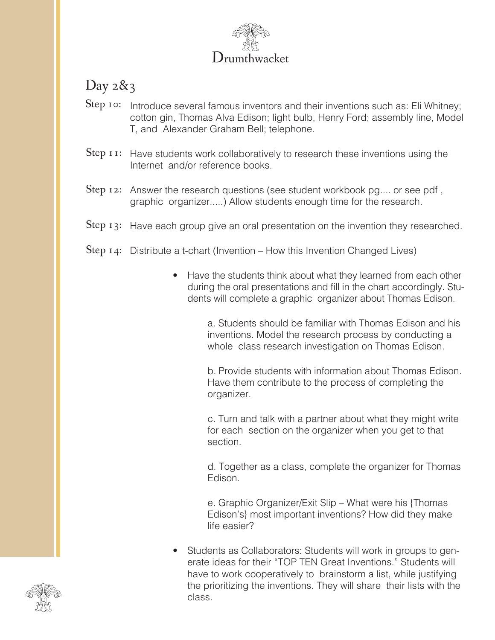

# Day 2&3

- Step 10: Introduce several famous inventors and their inventions such as: Eli Whitney; cotton gin, Thomas Alva Edison; light bulb, Henry Ford; assembly line, Model T, and Alexander Graham Bell; telephone.
- Step  $I$   $I$ : Have students work collaboratively to research these inventions using the Internet and/or reference books.
- Step 12: Answer the research questions (see student workbook pg.... or see pdf, graphic organizer.....) Allow students enough time for the research.
- Step  $13$ : Have each group give an oral presentation on the invention they researched.
- Step  $14$ : Distribute a t-chart (Invention How this Invention Changed Lives)
	- Have the students think about what they learned from each other during the oral presentations and fill in the chart accordingly. Students will complete a graphic organizer about Thomas Edison.

a. Students should be familiar with Thomas Edison and his inventions. Model the research process by conducting a whole class research investigation on Thomas Edison.

b. Provide students with information about Thomas Edison. Have them contribute to the process of completing the organizer.

c. Turn and talk with a partner about what they might write for each section on the organizer when you get to that section.

d. Together as a class, complete the organizer for Thomas Edison.

e. Graphic Organizer/Exit Slip – What were his {Thomas Edison's} most important inventions? How did they make life easier?

• Students as Collaborators: Students will work in groups to generate ideas for their "TOP TEN Great Inventions." Students will have to work cooperatively to brainstorm a list, while justifying the prioritizing the inventions. They will share their lists with the class.